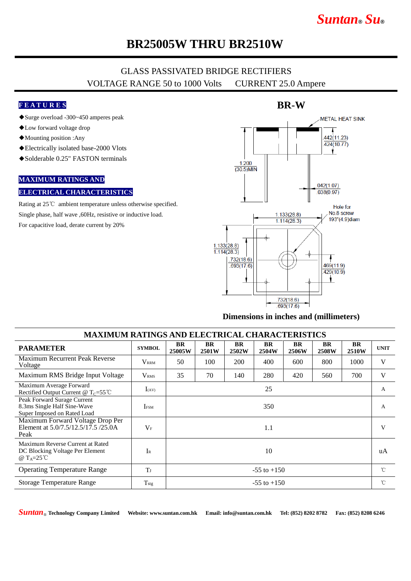# *Suntan***®** *Su***®**

## **BR25005W THRU BR2510W**

### GLASS PASSIVATED BRIDGE RECTIFIERS VOLTAGE RANGE 50 to 1000 Volts CURRENT 25.0 Ampere

### **F E A T U R E S**

- ◆Surge overload -300~450 amperes peak
- ◆Low forward voltage drop
- ◆Mounting position :Any
- ◆Electrically isolated base-2000 Vlots
- ◆Solderable 0.25" FASTON terminals

### **MAXIMUM RATINGS AND**

#### **ELECTRICAL CHARACTERISTICS**

Rating at 25℃ ambient temperature unless otherwise specified. Single phase, half wave ,60Hz, resistive or inductive load. For capacitive load, derate current by 20%



#### **Dimensions in inches and (millimeters)**

| <b>MAXIMUM RATINGS AND ELECTRICAL CHARACTERISTICS</b>                                      |                   |                     |                    |                    |                    |                    |                    |                    |              |
|--------------------------------------------------------------------------------------------|-------------------|---------------------|--------------------|--------------------|--------------------|--------------------|--------------------|--------------------|--------------|
| <b>PARAMETER</b>                                                                           | <b>SYMBOL</b>     | <b>BR</b><br>25005W | <b>BR</b><br>2501W | <b>BR</b><br>2502W | <b>BR</b><br>2504W | <b>BR</b><br>2506W | <b>BR</b><br>2508W | <b>BR</b><br>2510W | <b>UNIT</b>  |
| Maximum Recurrent Peak Reverse<br>Voltage                                                  | $\rm V_{\rm RRM}$ | 50                  | 100                | 200                | 400                | 600                | 800                | 1000               | V            |
| Maximum RMS Bridge Input Voltage                                                           | V <sub>RMS</sub>  | 35                  | 70                 | 140                | 280                | 420                | 560                | 700                | V            |
| Maximum Average Forward<br>Rectified Output Current @ $T_c = 55^{\circ}$ C                 | $I_{(AV)}$        | 25                  |                    |                    |                    |                    |                    |                    | A            |
| Peak Forward Surage Current<br>8.3ms Single Half Sine-Wave<br>Super Imposed on Rated Load  | <b>IFSM</b>       | 350                 |                    |                    |                    |                    |                    |                    | A            |
| Maximum Forward Voltage Drop Per<br>Element at 5.0/7.5/12.5/17.5 /25.0A<br>Peak            | $V_{\rm F}$       | 1.1                 |                    |                    |                    |                    |                    |                    | V            |
| Maximum Reverse Current at Rated<br>DC Blocking Voltage Per Element<br>@ $T_A=25^{\circ}C$ | $I_{R}$           | 10                  |                    |                    |                    |                    |                    |                    | uA           |
| <b>Operating Temperature Range</b>                                                         | T                 | $-55$ to $+150$     |                    |                    |                    |                    |                    |                    | $^{\circ}$ C |
| Storage Temperature Range                                                                  | $T_{\rm stg}$     | $-55$ to $+150$     |                    |                    |                    |                    |                    |                    | $^{\circ}$ C |

*Suntan*® **Technology Company Limited Website: www.suntan.com.hk Email: info@suntan.com.hk Tel: (852) 8202 8782 Fax: (852) 8208 6246**